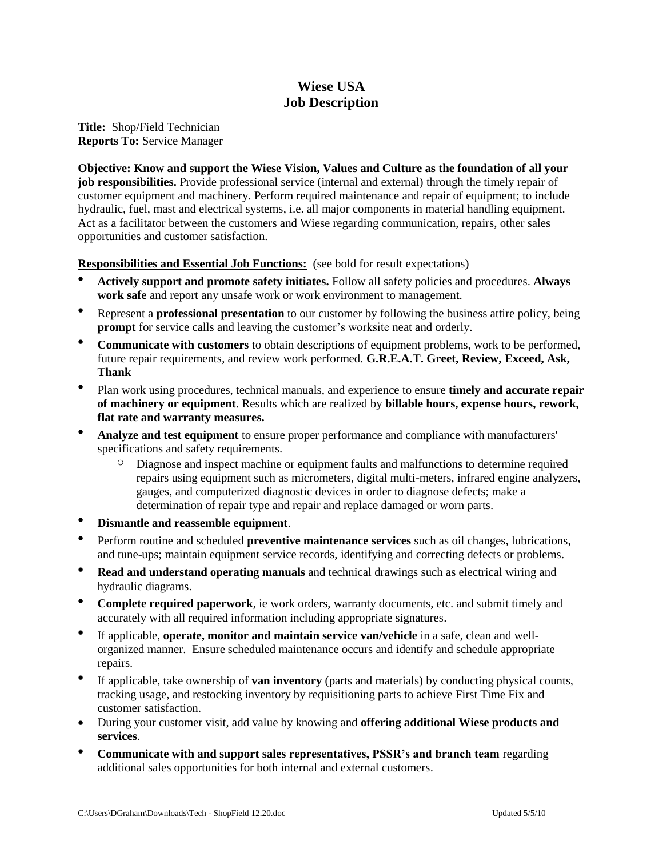# **Wiese USA Job Description**

**Title:** Shop/Field Technician **Reports To:** Service Manager

**Objective: Know and support the Wiese Vision, Values and Culture as the foundation of all your job responsibilities.** Provide professional service (internal and external) through the timely repair of customer equipment and machinery. Perform required maintenance and repair of equipment; to include hydraulic, fuel, mast and electrical systems, i.e. all major components in material handling equipment. Act as a facilitator between the customers and Wiese regarding communication, repairs, other sales opportunities and customer satisfaction.

**Responsibilities and Essential Job Functions:** (see bold for result expectations)

- **Actively support and promote safety initiates.** Follow all safety policies and procedures. **Always work safe** and report any unsafe work or work environment to management.
- Represent a **professional presentation** to our customer by following the business attire policy, being **prompt** for service calls and leaving the customer's worksite neat and orderly.
- **Communicate with customers** to obtain descriptions of equipment problems, work to be performed, future repair requirements, and review work performed. **G.R.E.A.T. Greet, Review, Exceed, Ask, Thank**
- Plan work using procedures, technical manuals, and experience to ensure **timely and accurate repair of machinery or equipment**. Results which are realized by **billable hours, expense hours, rework, flat rate and warranty measures.**
- **Analyze and test equipment** to ensure proper performance and compliance with manufacturers' specifications and safety requirements.
	- Diagnose and inspect machine or equipment faults and malfunctions to determine required repairs using equipment such as micrometers, digital multi-meters, infrared engine analyzers, gauges, and computerized diagnostic devices in order to diagnose defects; make a determination of repair type and repair and replace damaged or worn parts.
- **Dismantle and reassemble equipment**.
- Perform routine and scheduled **preventive maintenance services** such as oil changes, lubrications, and tune-ups; maintain equipment service records, identifying and correcting defects or problems.
- **Read and understand operating manuals** and technical drawings such as electrical wiring and hydraulic diagrams.
- **Complete required paperwork**, ie work orders, warranty documents, etc. and submit timely and accurately with all required information including appropriate signatures.
- If applicable, **operate, monitor and maintain service van/vehicle** in a safe, clean and wellorganized manner. Ensure scheduled maintenance occurs and identify and schedule appropriate repairs.
- If applicable, take ownership of **van inventory** (parts and materials) by conducting physical counts, tracking usage, and restocking inventory by requisitioning parts to achieve First Time Fix and customer satisfaction.
- During your customer visit, add value by knowing and **offering additional Wiese products and services**.
- **Communicate with and support sales representatives, PSSR's and branch team** regarding additional sales opportunities for both internal and external customers.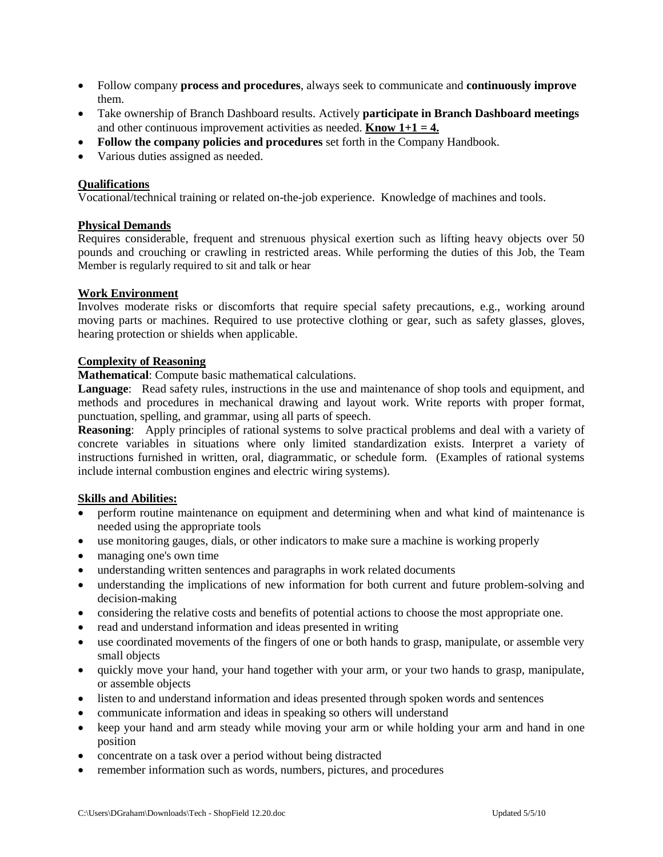- Follow company **process and procedures**, always seek to communicate and **continuously improve** them.
- Take ownership of Branch Dashboard results. Actively **participate in Branch Dashboard meetings** and other continuous improvement activities as needed. **Know**  $1+1 = 4$ **.**
- **Follow the company policies and procedures** set forth in the Company Handbook.
- Various duties assigned as needed.

## **Qualifications**

Vocational/technical training or related on-the-job experience. Knowledge of machines and tools.

## **Physical Demands**

Requires considerable, frequent and strenuous physical exertion such as lifting heavy objects over 50 pounds and crouching or crawling in restricted areas. While performing the duties of this Job, the Team Member is regularly required to sit and talk or hear

## **Work Environment**

Involves moderate risks or discomforts that require special safety precautions, e.g., working around moving parts or machines. Required to use protective clothing or gear, such as safety glasses, gloves, hearing protection or shields when applicable.

## **Complexity of Reasoning**

**Mathematical**: Compute basic mathematical calculations.

**Language**: Read safety rules, instructions in the use and maintenance of shop tools and equipment, and methods and procedures in mechanical drawing and layout work. Write reports with proper format, punctuation, spelling, and grammar, using all parts of speech.

**Reasoning**: Apply principles of rational systems to solve practical problems and deal with a variety of concrete variables in situations where only limited standardization exists. Interpret a variety of instructions furnished in written, oral, diagrammatic, or schedule form. (Examples of rational systems include internal combustion engines and electric wiring systems).

## **Skills and Abilities:**

- perform routine maintenance on equipment and determining when and what kind of maintenance is needed using the appropriate tools
- use monitoring gauges, dials, or other indicators to make sure a machine is working properly
- managing one's own time
- understanding written sentences and paragraphs in work related documents
- understanding the implications of new information for both current and future problem-solving and decision-making
- considering the relative costs and benefits of potential actions to choose the most appropriate one.
- read and understand information and ideas presented in writing
- use coordinated movements of the fingers of one or both hands to grasp, manipulate, or assemble very small objects
- quickly move your hand, your hand together with your arm, or your two hands to grasp, manipulate, or assemble objects
- listen to and understand information and ideas presented through spoken words and sentences
- communicate information and ideas in speaking so others will understand
- keep your hand and arm steady while moving your arm or while holding your arm and hand in one position
- concentrate on a task over a period without being distracted
- remember information such as words, numbers, pictures, and procedures